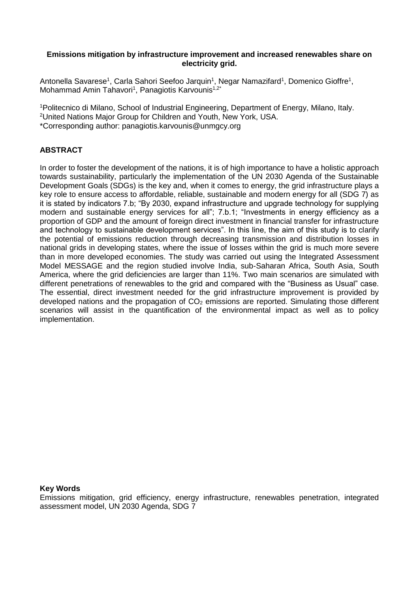### **Emissions mitigation by infrastructure improvement and increased renewables share on electricity grid.**

Antonella Savarese<sup>1</sup>, Carla Sahori Seefoo Jarquin<sup>1</sup>, Negar Namazifard<sup>1</sup>, Domenico Gioffre<sup>1</sup>, Mohammad Amin Tahavori<sup>1</sup>, Panagiotis Karvounis<sup>1,2\*</sup>

<sup>1</sup>Politecnico di Milano, School of Industrial Engineering, Department of Energy, Milano, Italy. <sup>2</sup>United Nations Major Group for Children and Youth, New York, USA. \*Corresponding author: panagiotis.karvounis@unmgcy.org

# **ABSTRACT**

In order to foster the development of the nations, it is of high importance to have a holistic approach towards sustainability, particularly the implementation of the UN 2030 Agenda of the Sustainable Development Goals (SDGs) is the key and, when it comes to energy, the grid infrastructure plays a key role to ensure access to affordable, reliable, sustainable and modern energy for all (SDG 7) as it is stated by indicators 7.b; "By 2030, expand infrastructure and upgrade technology for supplying modern and sustainable energy services for all"; 7.b.1; "Investments in energy efficiency as a proportion of GDP and the amount of foreign direct investment in financial transfer for infrastructure and technology to sustainable development services". In this line, the aim of this study is to clarify the potential of emissions reduction through decreasing transmission and distribution losses in national grids in developing states, where the issue of losses within the grid is much more severe than in more developed economies. The study was carried out using the Integrated Assessment Model MESSAGE and the region studied involve India, sub-Saharan Africa, South Asia, South America, where the grid deficiencies are larger than 11%. Two main scenarios are simulated with different penetrations of renewables to the grid and compared with the "Business as Usual" case. The essential, direct investment needed for the grid infrastructure improvement is provided by developed nations and the propagation of  $CO<sub>2</sub>$  emissions are reported. Simulating those different scenarios will assist in the quantification of the environmental impact as well as to policy implementation.

### **Key Words**

Emissions mitigation, grid efficiency, energy infrastructure, renewables penetration, integrated assessment model, UN 2030 Agenda, SDG 7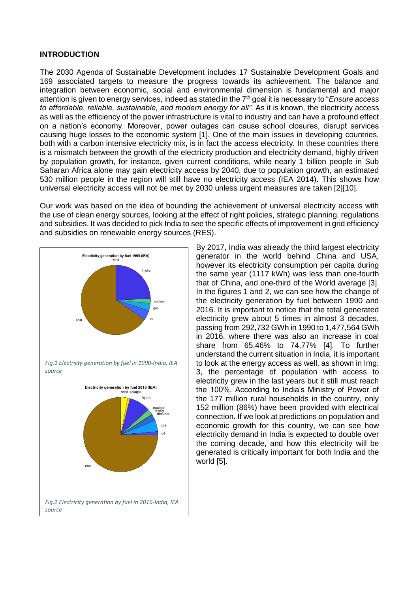## **INTRODUCTION**

The 2030 Agenda of Sustainable Development includes 17 Sustainable Development Goals and 169 associated targets to measure the progress towards its achievement. The balance and integration between economic, social and environmental dimension is fundamental and major attention is given to energy services, indeed as stated in the 7th goal it is necessary to "*Ensure access to affordable, reliable, sustainable, and modern energy for all"*. As it is known, the electricity access as well as the efficiency of the power infrastructure is vital to industry and can have a profound effect on a nation's economy. Moreover, power outages can cause school closures, disrupt services causing huge losses to the economic system [1]. One of the main issues in developing countries, both with a carbon intensive electricity mix, is in fact the access electricity. In these countries there is a mismatch between the growth of the electricity production and electricity demand, highly driven by population growth, for instance, given current conditions, while nearly 1 billion people in Sub Saharan Africa alone may gain electricity access by 2040, due to population growth, an estimated 530 million people in the region will still have no electricity access (IEA 2014). This shows how universal electricity access will not be met by 2030 unless urgent measures are taken [2][10].

Our work was based on the idea of bounding the achievement of universal electricity access with the use of clean energy sources, looking at the effect of right policies, strategic planning, regulations and subsidies. It was decided to pick India to see the specific effects of improvement in grid efficiency and subsidies on renewable energy sources (RES).



By 2017, India was already the third largest electricity generator in the world behind China and USA, however its electricity consumption per capita during the same year (1117 kWh) was less than one-fourth that of China, and one-third of the World average [3]. In the figures 1 and 2, we can see how the change of the electricity generation by fuel between 1990 and 2016. It is important to notice that the total generated electricity grew about 5 times in almost 3 decades, passing from 292,732 GWh in 1990 to 1,477,564 GWh in 2016, where there was also an increase in coal share from 65,46% to 74,77% [4]. To further understand the current situation in India, it is important to look at the energy access as well, as shown in Img. 3, the percentage of population with access to electricity grew in the last years but it still must reach the 100%. According to India's Ministry of Power of the 177 million rural households in the country, only 152 million (86%) have been provided with electrical connection. If we look at predictions on population and economic growth for this country, we can see how electricity demand in India is expected to double over the coming decade, and how this electricity will be generated is critically important for both India and the world [5].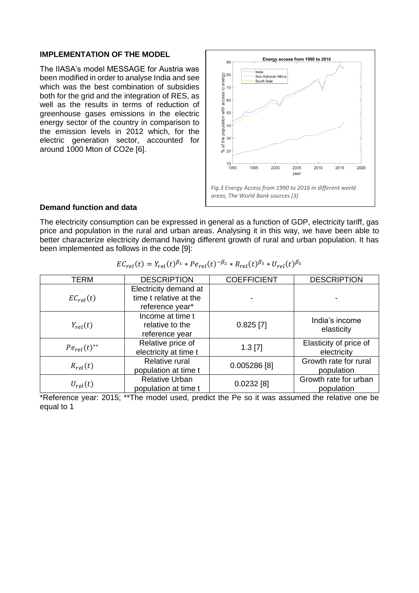# **IMPLEMENTATION OF THE MODEL**

The IIASA's model MESSAGE for Austria was been modified in order to analyse India and see which was the best combination of subsidies both for the grid and the integration of RES, as well as the results in terms of reduction of greenhouse gases emissions in the electric energy sector of the country in comparison to the emission levels in 2012 which, for the electric generation sector, accounted for around 1000 Mton of CO2e [6].



#### **Demand function and data**

The electricity consumption can be expressed in general as a function of GDP, electricity tariff, gas price and population in the rural and urban areas. Analysing it in this way, we have been able to better characterize electricity demand having different growth of rural and urban population. It has been implemented as follows in the code [9]:

| TERM               | <b>DESCRIPTION</b>                                                 | <b>COEFFICIENT</b> | <b>DESCRIPTION</b>                    |
|--------------------|--------------------------------------------------------------------|--------------------|---------------------------------------|
| $EC_{rel}(t)$      | Electricity demand at<br>time t relative at the<br>reference year* |                    |                                       |
| $Y_{rel}(t)$       | Income at time t<br>relative to the<br>reference year              | $0.825$ [7]        | India's income<br>elasticity          |
| $Pe_{rel}(t)^{**}$ | Relative price of<br>electricity at time t                         | $1.3$ [7]          | Elasticity of price of<br>electricity |
| $R_{rel}(t)$       | Relative rural<br>population at time t                             | $0.005286$ [8]     | Growth rate for rural<br>population   |
| $U_{rel}(t)$       | <b>Relative Urban</b><br>population at time t                      | $0.0232$ [8]       | Growth rate for urban<br>population   |

| $EC_{rel}(t) = Y_{rel}(t)^{\beta_1} * Pe_{rel}(t)^{-\beta_2} * R_{rel}(t)^{\beta_3} * U_{rel}(t)^{\beta_5}$ |  |
|-------------------------------------------------------------------------------------------------------------|--|
|-------------------------------------------------------------------------------------------------------------|--|

\*Reference year: 2015; \*\*The model used, predict the Pe so it was assumed the relative one be equal to 1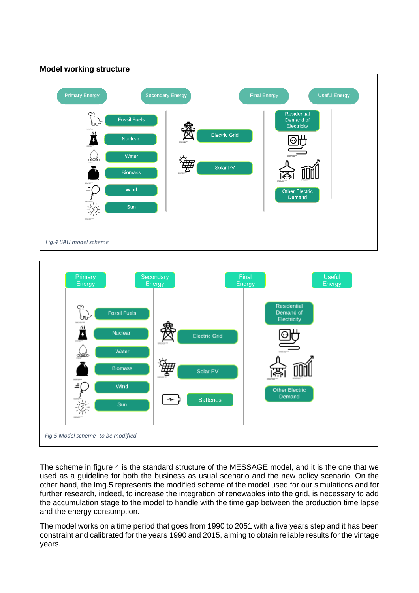



The scheme in figure 4 is the standard structure of the MESSAGE model, and it is the one that we used as a guideline for both the business as usual scenario and the new policy scenario. On the other hand, the Img.5 represents the modified scheme of the model used for our simulations and for further research, indeed, to increase the integration of renewables into the grid, is necessary to add the accumulation stage to the model to handle with the time gap between the production time lapse and the energy consumption.

The model works on a time period that goes from 1990 to 2051 with a five years step and it has been constraint and calibrated for the years 1990 and 2015, aiming to obtain reliable results for the vintage years.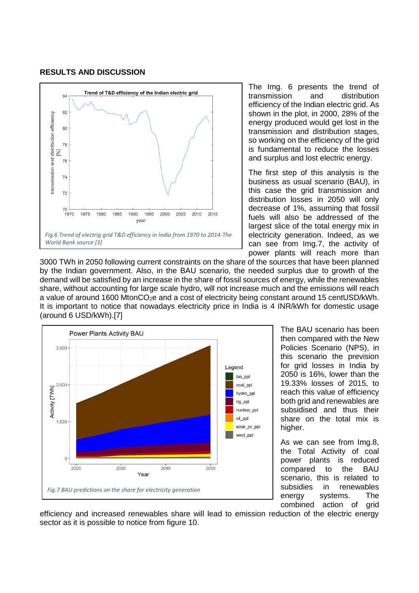#### **RESULTS AND DISCUSSION**



The Img. 6 presents the trend of transmission and distribution efficiency of the Indian electric grid. As shown in the plot, in 2000, 28% of the energy produced would get lost in the transmission and distribution stages, so working on the efficiency of the grid is fundamental to reduce the losses and surplus and lost electric energy.

The first step of this analysis is the business as usual scenario (BAU), in this case the grid transmission and distribution losses in 2050 will only decrease of 1%, assuming that fossil fuels will also be addressed of the largest slice of the total energy mix in electricity generation. Indeed, as we can see from Img.7, the activity of power plants will reach more than

3000 TWh in 2050 following current constraints on the share of the sources that have been planned by the Indian government. Also, in the BAU scenario, the needed surplus due to growth of the demand will be satisfied by an increase in the share of fossil sources of energy, while the renewables share, without accounting for large scale hydro, will not increase much and the emissions will reach a value of around 1600 MtonCO<sub>2</sub>e and a cost of electricity being constant around 15 centUSD/kWh. It is important to notice that nowadays electricity price in India is 4 INR/kWh for domestic usage (around 6 USD/kWh).[7]



The BAU scenario has been then compared with the New Policies Scenario (NPS), in this scenario the prevision for grid losses in India by 2050 is 16%, lower than the 19.33% losses of 2015, to reach this value of efficiency both grid and renewables are subsidised and thus their share on the total mix is higher.

As we can see from Img.8, the Total Activity of coal power plants is reduced compared to the BAU scenario, this is related to subsidies in renewables energy systems. The combined action of grid

efficiency and increased renewables share will lead to emission reduction of the electric energy sector as it is possible to notice from figure 10.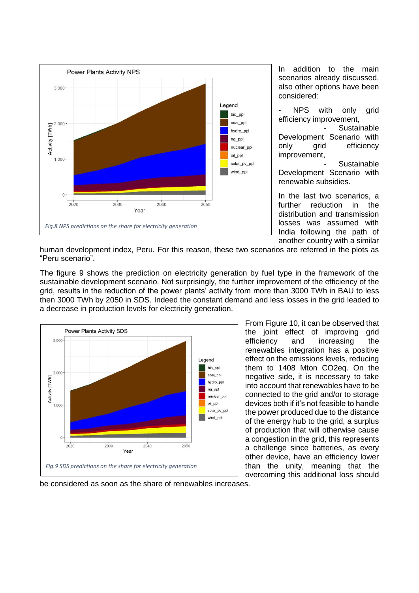

In addition to the main scenarios already discussed, also other options have been considered:

NPS with only grid efficiency improvement, **Sustainable** Development Scenario with

only arid efficiency improvement, **Sustainable** 

Development Scenario with renewable subsidies.

In the last two scenarios, a further reduction in the distribution and transmission losses was assumed with India following the path of another country with a similar

human development index, Peru. For this reason, these two scenarios are referred in the plots as "Peru scenario".

The figure 9 shows the prediction on electricity generation by fuel type in the framework of the sustainable development scenario. Not surprisingly, the further improvement of the efficiency of the grid, results in the reduction of the power plants' activity from more than 3000 TWh in BAU to less then 3000 TWh by 2050 in SDS. Indeed the constant demand and less losses in the grid leaded to a decrease in production levels for electricity generation.



From Figure 10, it can be observed that the joint effect of improving grid efficiency and increasing the renewables integration has a positive effect on the emissions levels, reducing them to 1408 Mton CO2eq. On the negative side, it is necessary to take into account that renewables have to be connected to the grid and/or to storage devices both if it's not feasible to handle the power produced due to the distance of the energy hub to the grid, a surplus of production that will otherwise cause a congestion in the grid, this represents a challenge since batteries, as every other device, have an efficiency lower than the unity, meaning that the overcoming this additional loss should

be considered as soon as the share of renewables increases.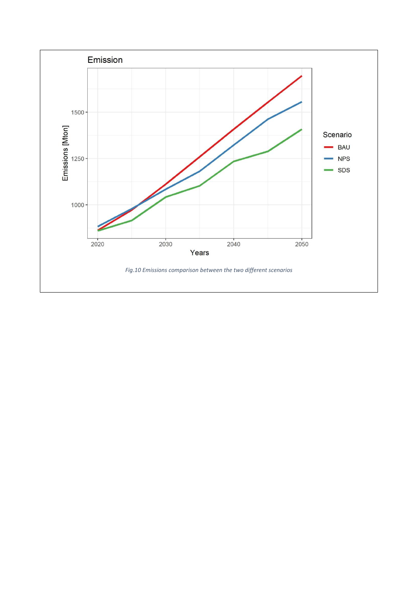